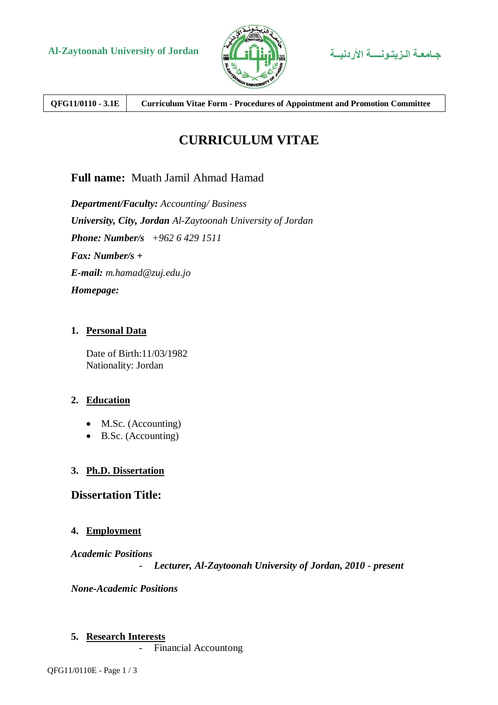



**QFG11/0110 - 3.1E Curriculum Vitae Form - Procedures of Appointment and Promotion Committee**

# **CURRICULUM VITAE**

# **Full name:** Muath Jamil Ahmad Hamad

*Department/Faculty: Accounting/ Business University, City, Jordan Al-Zaytoonah University of Jordan Phone: Number/s +962 6 429 1511 Fax: Number/s + E-mail: m.hamad@zuj.edu.jo Homepage:*

#### **1. Personal Data**

Date of Birth:11/03/1982 Nationality: Jordan

#### **2. Education**

- M.Sc. (Accounting)
- B.Sc. (Accounting)

## **3. Ph.D. Dissertation**

## **Dissertation Title:**

#### **4. Employment**

*Academic Positions*

- *Lecturer, Al-Zaytoonah University of Jordan, 2010 - present*

*None-Academic Positions*

#### **5. Research Interests**

- Financial Accountong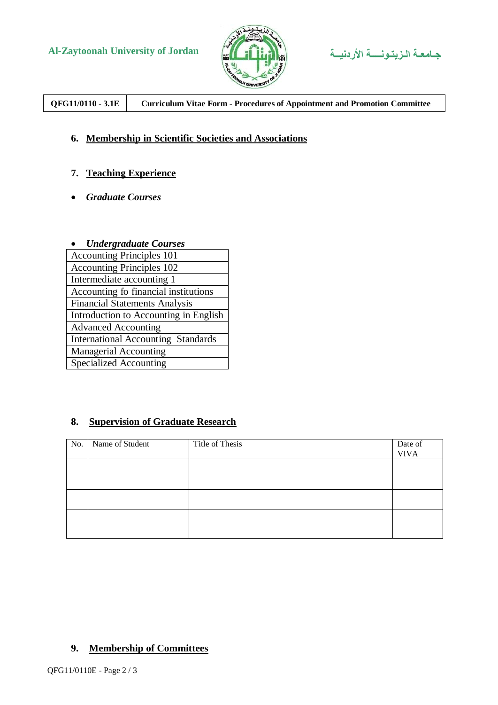



**QFG11/0110 - 3.1E Curriculum Vitae Form - Procedures of Appointment and Promotion Committee**

## **6. Membership in Scientific Societies and Associations**

## **7. Teaching Experience**

*Graduate Courses*

#### *Undergraduate Courses*

## **8. Supervision of Graduate Research**

| No. | Name of Student | Title of Thesis | Date of<br><b>VIVA</b> |
|-----|-----------------|-----------------|------------------------|
|     |                 |                 |                        |
|     |                 |                 |                        |
|     |                 |                 |                        |
|     |                 |                 |                        |

## **9. Membership of Committees**